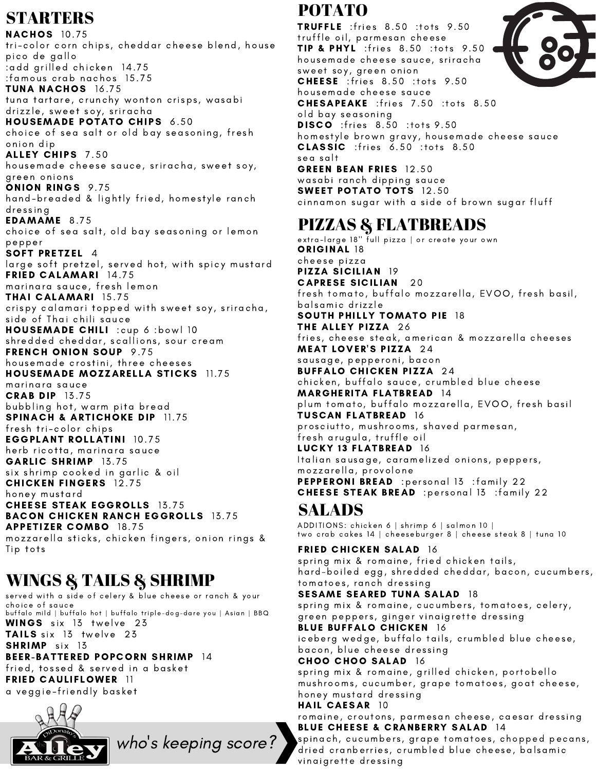# **STARTERS**

**NACHOS** 10.75 tri-color corn chips, cheddar cheese blend, house pico de gallo :add grilled chicken 14.75 :famous crab nachos 15.75 TUNA NACHOS 16.75 tuna tartare, crunchy wonton crisps, wasabi drizzle, sweet soy, sriracha HOUSEMADE POTATO CHIPS 6.50 choice of sea salt or old bay seasoning, fresh on ion dip ALLEY CHIPS 7.50 housemade cheese sauce, sriracha, sweet soy, green on ion s ONION RINGS 9.75 hand-breaded & lightly fried, homestyle ranch dressing EDAMAME 8.75 choice of sea salt, old bay seasoning or lemon pepper SOFT PRETZEL 4 large soft pretzel, served hot, with spicy mustard FRIED CALAMARI 14.75 marinara sauce, fresh lemon THAI CALAMARI 15. 75 crispy calamari topped with sweet soy, sriracha, side of Thai chili sauce HOUSEMADE CHILI :cup 6 :bowl 10 shredded cheddar, scallions, sour cream FRENCH ONION SOUP 9.75 housemade crostini, three cheeses HOUSEMADE MOZZARELLA STICKS 11.75 marinara sauce **CRAB DIP 13.75** bubbling hot, warm pita bread SPINACH & ARTICHOKE DIP 11.75 fresh tri-color chips **EGGPLANT ROLLATINI 10.75** herb ricotta, marinara sauce GARLIC SHRIMP 13.75 six shrimp cooked in garlic & oil **CHICKEN FINGERS** 12.75 honey mustard **CHEESE STEAK EGGROLLS** 13.75 **BACON CHICKEN RANCH EGGROLLS 13.75 APPETIZER COMBO 18.75** mozzarella sticks, chicken fingers, onion rings & Tip tots

# WINGS & TAILS & SHRIMP

served with a side of celery & blue cheese or ranch & your choice of sauce buffalo mild | buffalo hot | buffalo triple-dog-dare you | Asian | BBQ WINGS six 13 twelve 23 TAILS six 13 twelve 23 SHRIMP six 13 BEER-BATTERED POPCORN SHRIMP 14 fried, tossed & served in a basket FRIED CAULIFLOWER 11 a veggie-friendly basket

who '

s keeping score?



POTATO

TRUFFLE : fries 8.50 : tots 9.50 truffle oil, parmesan cheese **TIP & PHYL** :fries 8.50 :tots 9.50 hou semade c heese sau ce, s rirac ha sweet soy, green onion **CHEESE** : fries 8.50 : tots 9.50 hou semade c heese sau ce CHESAPEAKE : fries 7.50 : tots 8.50 old bay seasoning **DISCO** : fries 8.50 : tots 9.50 homestyle brown gravy, housemade cheese sauce  $CLASSIC$  : fries  $6.50$  : tots  $8.50$ sea salt GREEN BEAN FRIES 12.50 wasabi ranch dipping sauce SWEET POTATO TOTS 12.50 cinnamon sugar with a side of brown sugar fluff

# PIZZAS & FLATBREADS

extra-large 18'' <sup>F</sup>ull pizza | or create your own<br>**ORIGINAL** 18 c heese pi z za PIZZA SICILIAN 19 **CAPRESE SICILIAN** 20 fresh tomato, buffalo mozzarella, EVOO, fresh basil, balsamic drizzle<br>**SOUTH PHILLY TOMATO PIE** 18 THE ALLEY PIZZA 26 fries, cheese steak, american & mozzarella cheeses MEAT LOVER'S PIZZA 24 sausage, pepperoni, bacon<br>**BUFFALO CHICKEN PIZZA** 24 chicken, buffalo sauce, crumbled blue cheese<br>**MARGHERITA FLATBREAD** 14 plum tomato, buffalo mozzarella, EVOO, fresh basil TUSCAN FLATBREAD 16 prosciutto, mushrooms, shaved parmesan, fresh arugula, truffle oil LUCKY 13 FLATBREAD 16 Italian sausage, caramelized onions, peppers, mozzarella, provolone PEPPERONI BREAD : personal 13 : family 22 CHEESE STEAK BREAD : personal 13 : family 22

### SALADS

ADDITIONS: chicken 6 | shrimp 6 | salmon 10 | two crab cakes 14 | cheeseburger 8 | cheese steak 8 | tuna 10

FRIED CHICKEN SALAD 16 spring mix & romaine, fried chicken tails, hard-boiled egg, shredded cheddar, bacon, cucumbers, tomatoes, ranch dressing SESAME SEARED TUNA SALAD 18 spring mix & romaine, cucumbers, tomatoes, celery, green peppers, ginger vinaigrette dressing **BLUE BUFFALO CHICKEN 16** iceberg wedge, buffalo tails, crumbled blue cheese, bacon, blue cheese dressing CHOO CHOO SALAD 16 spring mix & romaine, grilled chicken, portobello mushrooms, cucumber, grape tomatoes, goat cheese, honey mustard dressing HAIL CAESAR 10 romaine, croutons, parmesan cheese, caesar dressing BLUE CHEESE & CRANBERRY SALAD 14 spinach, cucumbers, grape tomatoes, chopped pecans, dried cranberries, crumbled blue cheese, balsamic vinaigrette dressing